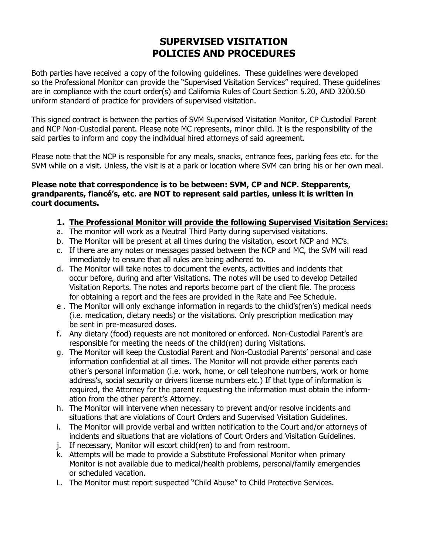# **SUPERVISED VISITATION POLICIES AND PROCEDURES**

Both parties have received a copy of the following guidelines. These guidelines were developed so the Professional Monitor can provide the "Supervised Visitation Services" required. These guidelines are in compliance with the court order(s) and California Rules of Court Section 5.20, AND 3200.50 uniform standard of practice for providers of supervised visitation.

This signed contract is between the parties of SVM Supervised Visitation Monitor, CP Custodial Parent and NCP Non-Custodial parent. Please note MC represents, minor child. It is the responsibility of the said parties to inform and copy the individual hired attorneys of said agreement.

Please note that the NCP is responsible for any meals, snacks, entrance fees, parking fees etc. for the SVM while on a visit. Unless, the visit is at a park or location where SVM can bring his or her own meal.

### **Please note that correspondence is to be between: SVM, CP and NCP. Stepparents, grandparents, fiancé's, etc. are NOT to represent said parties, unless it is written in court documents.**

#### **1. The Professional Monitor will provide the following Supervised Visitation Services:**

- a. The monitor will work as a Neutral Third Party during supervised visitations.
- b. The Monitor will be present at all times during the visitation, escort NCP and MC's.
- c. If there are any notes or messages passed between the NCP and MC, the SVM will read immediately to ensure that all rules are being adhered to.
- d. The Monitor will take notes to document the events, activities and incidents that occur before, during and after Visitations. The notes will be used to develop Detailed Visitation Reports. The notes and reports become part of the client file. The process for obtaining a report and the fees are provided in the Rate and Fee Schedule.
- e . The Monitor will only exchange information in regards to the child's(ren's) medical needs (i.e. medication, dietary needs) or the visitations. Only prescription medication may be sent in pre-measured doses.
- f. Any dietary (food) requests are not monitored or enforced. Non-Custodial Parent's are responsible for meeting the needs of the child(ren) during Visitations.
- g. The Monitor will keep the Custodial Parent and Non-Custodial Parents' personal and case information confidential at all times. The Monitor will not provide either parents each other's personal information (i.e. work, home, or cell telephone numbers, work or home address's, social security or drivers license numbers etc.) If that type of information is required, the Attorney for the parent requesting the information must obtain the inform ation from the other parent's Attorney.
- h. The Monitor will intervene when necessary to prevent and/or resolve incidents and situations that are violations of Court Orders and Supervised Visitation Guidelines.
- i. The Monitor will provide verbal and written notification to the Court and/or attorneys of incidents and situations that are violations of Court Orders and Visitation Guidelines.
- j. If necessary, Monitor will escort child(ren) to and from restroom.
- k. Attempts will be made to provide a Substitute Professional Monitor when primary Monitor is not available due to medical/health problems, personal/family emergencies or scheduled vacation.
- L. The Monitor must report suspected "Child Abuse" to Child Protective Services.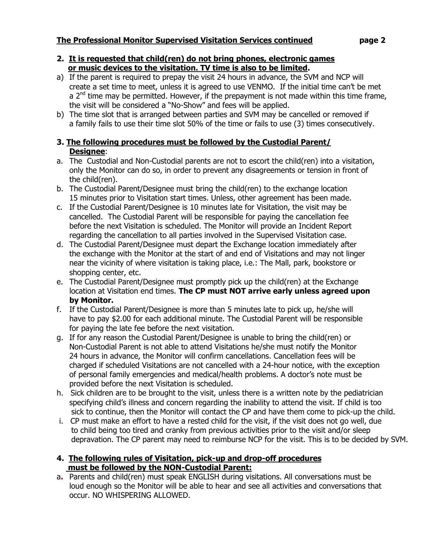#### **2. It is requested that child(ren) do not bring phones, electronic games or music devices to the visitation. TV time is also to be limited.**

- a) If the parent is required to prepay the visit 24 hours in advance, the SVM and NCP will create a set time to meet, unless it is agreed to use VENMO. If the initial time can't be met a  $2^{nd}$  time may be permitted. However, if the prepayment is not made within this time frame, the visit will be considered a "No-Show" and fees will be applied.
- b) The time slot that is arranged between parties and SVM may be cancelled or removed if a family fails to use their time slot 50% of the time or fails to use (3) times consecutively.

### **3. The following procedures must be followed by the Custodial Parent/ Designee**:

- a. The Custodial and Non-Custodial parents are not to escort the child(ren) into a visitation, only the Monitor can do so, in order to prevent any disagreements or tension in front of the child(ren).
- b. The Custodial Parent/Designee must bring the child(ren) to the exchange location 15 minutes prior to Visitation start times. Unless, other agreement has been made.
- c. If the Custodial Parent/Designee is 10 minutes late for Visitation, the visit may be cancelled. The Custodial Parent will be responsible for paying the cancellation fee before the next Visitation is scheduled. The Monitor will provide an Incident Report regarding the cancellation to all parties involved in the Supervised Visitation case.
- d. The Custodial Parent/Designee must depart the Exchange location immediately after the exchange with the Monitor at the start of and end of Visitations and may not linger near the vicinity of where visitation is taking place, i.e.: The Mall, park, bookstore or shopping center, etc.
- e. The Custodial Parent/Designee must promptly pick up the child(ren) at the Exchange location at Visitation end times. **The CP must NOT arrive early unless agreed upon by Monitor.**
- f. If the Custodial Parent/Designee is more than 5 minutes late to pick up, he/she will have to pay \$2.00 for each additional minute. The Custodial Parent will be responsible for paying the late fee before the next visitation.
- g. If for any reason the Custodial Parent/Designee is unable to bring the child(ren) or Non-Custodial Parent is not able to attend Visitations he/she must notify the Monitor 24 hours in advance, the Monitor will confirm cancellations. Cancellation fees will be charged if scheduled Visitations are not cancelled with a 24-hour notice, with the exception of personal family emergencies and medical/health problems. A doctor's note must be provided before the next Visitation is scheduled.
- h. Sick children are to be brought to the visit, unless there is a written note by the pediatrician specifying child's illness and concern regarding the inability to attend the visit. If child is too sick to continue, then the Monitor will contact the CP and have them come to pick-up the child.
- i. CP must make an effort to have a rested child for the visit, if the visit does not go well, due to child being too tired and cranky from previous activities prior to the visit and/or sleep depravation. The CP parent may need to reimburse NCP for the visit. This is to be decided by SVM.

### **4. The following rules of Visitation, pick-up and drop-off procedures must be followed by the NON-Custodial Parent:**

a**.** Parents and child(ren) must speak ENGLISH during visitations. All conversations must be loud enough so the Monitor will be able to hear and see all activities and conversations that occur. NO WHISPERING ALLOWED.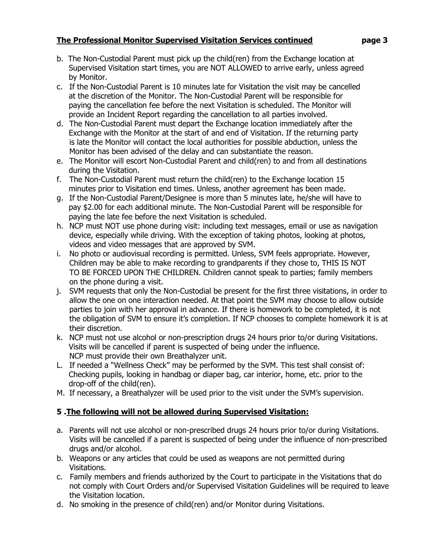- b. The Non-Custodial Parent must pick up the child(ren) from the Exchange location at Supervised Visitation start times, you are NOT ALLOWED to arrive early, unless agreed by Monitor.
- c. If the Non-Custodial Parent is 10 minutes late for Visitation the visit may be cancelled at the discretion of the Monitor. The Non-Custodial Parent will be responsible for paying the cancellation fee before the next Visitation is scheduled. The Monitor will provide an Incident Report regarding the cancellation to all parties involved.
- d. The Non-Custodial Parent must depart the Exchange location immediately after the Exchange with the Monitor at the start of and end of Visitation. If the returning party is late the Monitor will contact the local authorities for possible abduction, unless the Monitor has been advised of the delay and can substantiate the reason.
- e. The Monitor will escort Non-Custodial Parent and child(ren) to and from all destinations during the Visitation.
- f. The Non-Custodial Parent must return the child(ren) to the Exchange location 15 minutes prior to Visitation end times. Unless, another agreement has been made.
- g. If the Non-Custodial Parent/Designee is more than 5 minutes late, he/she will have to pay \$2.00 for each additional minute. The Non-Custodial Parent will be responsible for paying the late fee before the next Visitation is scheduled.
- h. NCP must NOT use phone during visit: including text messages, email or use as navigation device, especially while driving. With the exception of taking photos, looking at photos, videos and video messages that are approved by SVM.
- i. No photo or audiovisual recording is permitted. Unless, SVM feels appropriate. However, Children may be able to make recording to grandparents if they chose to, THIS IS NOT TO BE FORCED UPON THE CHILDREN. Children cannot speak to parties; family members on the phone during a visit.
- j. SVM requests that only the Non-Custodial be present for the first three visitations, in order to allow the one on one interaction needed. At that point the SVM may choose to allow outside parties to join with her approval in advance. If there is homework to be completed, it is not the obligation of SVM to ensure it's completion. If NCP chooses to complete homework it is at their discretion.
- k. NCP must not use alcohol or non-prescription drugs 24 hours prior to/or during Visitations. Visits will be cancelled if parent is suspected of being under the influence. NCP must provide their own Breathalyzer unit.
- L. If needed a "Wellness Check" may be performed by the SVM. This test shall consist of: Checking pupils, looking in handbag or diaper bag, car interior, home, etc. prior to the drop-off of the child(ren).
- M. If necessary, a Breathalyzer will be used prior to the visit under the SVM's supervision.

# **5 .The following will not be allowed during Supervised Visitation:**

- a. Parents will not use alcohol or non-prescribed drugs 24 hours prior to/or during Visitations. Visits will be cancelled if a parent is suspected of being under the influence of non-prescribed drugs and/or alcohol.
- b. Weapons or any articles that could be used as weapons are not permitted during Visitations.
- c. Family members and friends authorized by the Court to participate in the Visitations that do not comply with Court Orders and/or Supervised Visitation Guidelines will be required to leave the Visitation location.
- d. No smoking in the presence of child(ren) and/or Monitor during Visitations.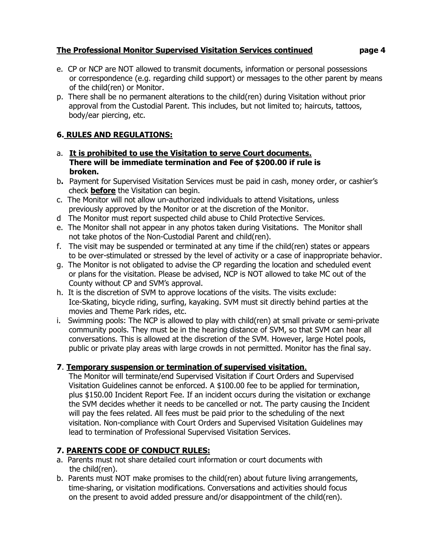- 
- e. CP or NCP are NOT allowed to transmit documents, information or personal possessions or correspondence (e.g. regarding child support) or messages to the other parent by means of the child(ren) or Monitor.
- p. There shall be no permanent alterations to the child(ren) during Visitation without prior approval from the Custodial Parent. This includes, but not limited to; haircuts, tattoos, body/ear piercing, etc.

# **6. RULES AND REGULATIONS:**

- a. **It is prohibited to use the Visitation to serve Court documents. There will be immediate termination and Fee of \$200.00 if rule is broken.**
- b**.** Payment for Supervised Visitation Services must be paid in cash, money order, or cashier's check **before** the Visitation can begin.
- c. The Monitor will not allow un-authorized individuals to attend Visitations, unless previously approved by the Monitor or at the discretion of the Monitor.
- d The Monitor must report suspected child abuse to Child Protective Services.
- e. The Monitor shall not appear in any photos taken during Visitations. The Monitor shall not take photos of the Non-Custodial Parent and child(ren).
- f. The visit may be suspended or terminated at any time if the child(ren) states or appears to be over-stimulated or stressed by the level of activity or a case of inappropriate behavior.
- g. The Monitor is not obligated to advise the CP regarding the location and scheduled event or plans for the visitation. Please be advised, NCP is NOT allowed to take MC out of the County without CP and SVM's approval.
- h. It is the discretion of SVM to approve locations of the visits. The visits exclude: Ice-Skating, bicycle riding, surfing, kayaking. SVM must sit directly behind parties at the movies and Theme Park rides, etc.
- i. Swimming pools: The NCP is allowed to play with child(ren) at small private or semi-private community pools. They must be in the hearing distance of SVM, so that SVM can hear all conversations. This is allowed at the discretion of the SVM. However, large Hotel pools, public or private play areas with large crowds in not permitted. Monitor has the final say.

### **7**. **Temporary suspension or termination of supervised visitation**.

 The Monitor will terminate/end Supervised Visitation if Court Orders and Supervised Visitation Guidelines cannot be enforced. A \$100.00 fee to be applied for termination, plus \$150.00 Incident Report Fee. If an incident occurs during the visitation or exchange the SVM decides whether it needs to be cancelled or not. The party causing the Incident will pay the fees related. All fees must be paid prior to the scheduling of the next visitation. Non-compliance with Court Orders and Supervised Visitation Guidelines may lead to termination of Professional Supervised Visitation Services.

# **7. PARENTS CODE OF CONDUCT RULES:**

- a.Parents must not share detailed court information or court documents with the child(ren).
- b. Parents must NOT make promises to the child(ren) about future living arrangements, time-sharing, or visitation modifications. Conversations and activities should focus on the present to avoid added pressure and/or disappointment of the child(ren).